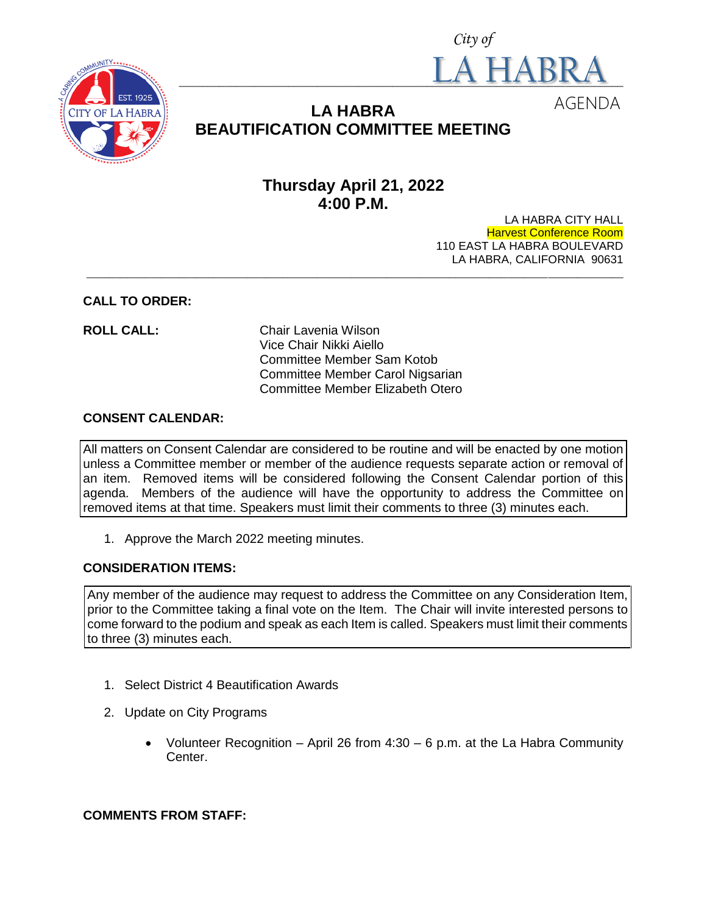



# **LA HABRA BEAUTIFICATION COMMITTEE MEETING**

# **Thursday April 21, 2022 4:00 P.M.**

LA HABRA CITY HALL Harvest Conference Room 110 EAST LA HABRA BOULEVARD LA HABRA, CALIFORNIA 90631 **\_\_\_\_\_\_\_\_\_\_\_\_\_\_\_\_\_\_\_\_\_\_\_\_\_\_\_\_\_\_\_\_\_\_\_\_\_\_\_\_\_\_\_\_\_\_\_\_\_\_\_\_\_\_\_\_\_\_\_\_\_\_\_\_\_\_\_\_\_\_\_\_\_\_\_\_\_\_\_\_\_\_\_\_\_\_\_\_\_\_\_\_\_**

### **CALL TO ORDER:**

**ROLL CALL:** Chair Lavenia Wilson Vice Chair Nikki Aiello Committee Member Sam Kotob Committee Member Carol Nigsarian Committee Member Elizabeth Otero

#### **CONSENT CALENDAR:**

All matters on Consent Calendar are considered to be routine and will be enacted by one motion unless a Committee member or member of the audience requests separate action or removal of an item. Removed items will be considered following the Consent Calendar portion of this agenda. Members of the audience will have the opportunity to address the Committee on removed items at that time. Speakers must limit their comments to three (3) minutes each.

1. Approve the March 2022 meeting minutes.

## **CONSIDERATION ITEMS:**

Any member of the audience may request to address the Committee on any Consideration Item, prior to the Committee taking a final vote on the Item. The Chair will invite interested persons to come forward to the podium and speak as each Item is called. Speakers must limit their comments to three (3) minutes each.

- 1. Select District 4 Beautification Awards
- 2. Update on City Programs
	- Volunteer Recognition April 26 from  $4:30 6$  p.m. at the La Habra Community Center.

#### **COMMENTS FROM STAFF:**